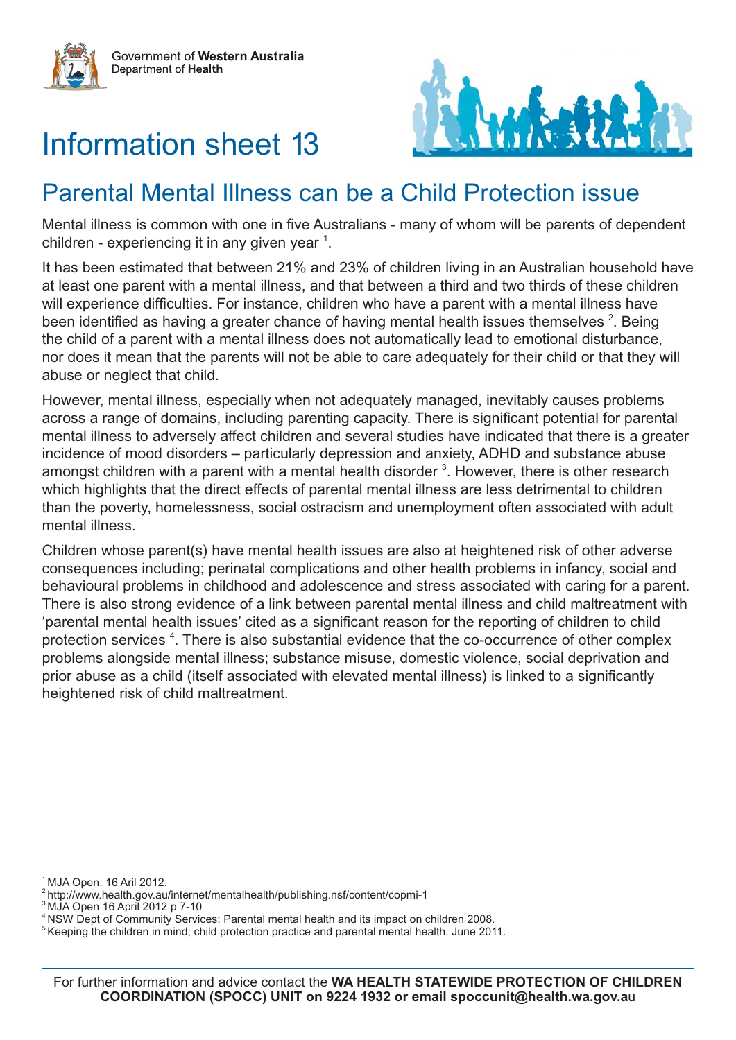



# Information sheet 13

# Parental Mental Illness can be a Child Protection issue

Mental illness is common with one in five Australians - many of whom will be parents of dependent children - experiencing it in any given year  $1$ .

It has been estimated that between 21% and 23% of children living in an Australian household have at least one parent with a mental illness, and that between a third and two thirds of these children will experience difficulties. For instance, children who have a parent with a mental illness have been identified as having a greater chance of having mental health issues themselves  $2$ . Being the child of a parent with a mental illness does not automatically lead to emotional disturbance, nor does it mean that the parents will not be able to care adequately for their child or that they will abuse or neglect that child.

However, mental illness, especially when not adequately managed, inevitably causes problems across a range of domains, including parenting capacity. There is significant potential for parental mental illness to adversely affect children and several studies have indicated that there is a greater incidence of mood disorders – particularly depression and anxiety, ADHD and substance abuse amongst children with a parent with a mental health disorder  $3$ . However, there is other research which highlights that the direct effects of parental mental illness are less detrimental to children than the poverty, homelessness, social ostracism and unemployment often associated with adult mental illness.

Children whose parent(s) have mental health issues are also at heightened risk of other adverse consequences including; perinatal complications and other health problems in infancy, social and behavioural problems in childhood and adolescence and stress associated with caring for a parent. There is also strong evidence of a link between parental mental illness and child maltreatment with 'parental mental health issues' cited as a significant reason for the reporting of children to child protection services<sup>4</sup>. There is also substantial evidence that the co-occurrence of other complex problems alongside mental illness; substance misuse, domestic violence, social deprivation and prior abuse as a child (itself associated with elevated mental illness) is linked to a significantly heightened risk of child maltreatment.

<sup>1</sup> MJA Open. 16 Aril 2012.

<sup>2</sup> http://www.health.gov.au/internet/mentalhealth/publishing.nsf/content/copmi-1

<sup>3</sup> MJA Open 16 April 2012 p 7-10

<sup>4</sup> NSW Dept of Community Services: Parental mental health and its impact on children 2008.

 $5$  Keeping the children in mind; child protection practice and parental mental health. June 2011.